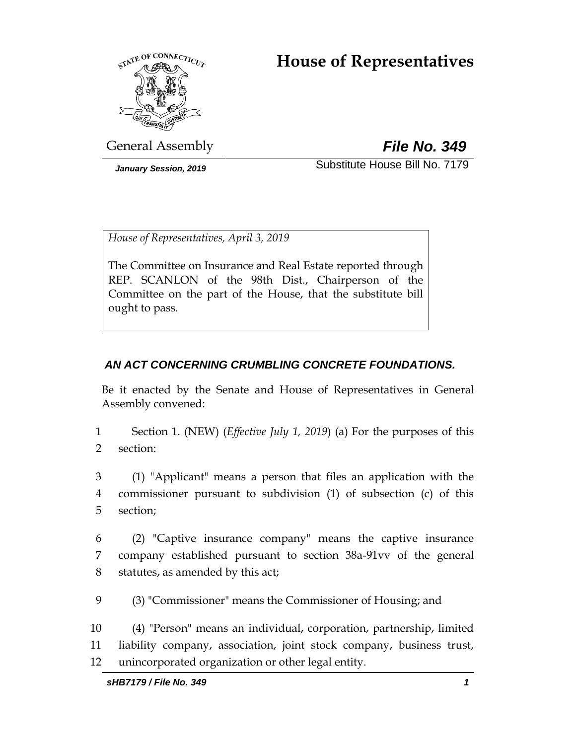# **House of Representatives**



General Assembly *File No. 349*

*January Session, 2019* Substitute House Bill No. 7179

*House of Representatives, April 3, 2019*

The Committee on Insurance and Real Estate reported through REP. SCANLON of the 98th Dist., Chairperson of the Committee on the part of the House, that the substitute bill ought to pass.

# *AN ACT CONCERNING CRUMBLING CONCRETE FOUNDATIONS.*

Be it enacted by the Senate and House of Representatives in General Assembly convened:

1 Section 1. (NEW) (*Effective July 1, 2019*) (a) For the purposes of this 2 section:

3 (1) "Applicant" means a person that files an application with the 4 commissioner pursuant to subdivision (1) of subsection (c) of this 5 section;

6 (2) "Captive insurance company" means the captive insurance 7 company established pursuant to section 38a-91vv of the general 8 statutes, as amended by this act;

9 (3) "Commissioner" means the Commissioner of Housing; and

10 (4) "Person" means an individual, corporation, partnership, limited 11 liability company, association, joint stock company, business trust, 12 unincorporated organization or other legal entity.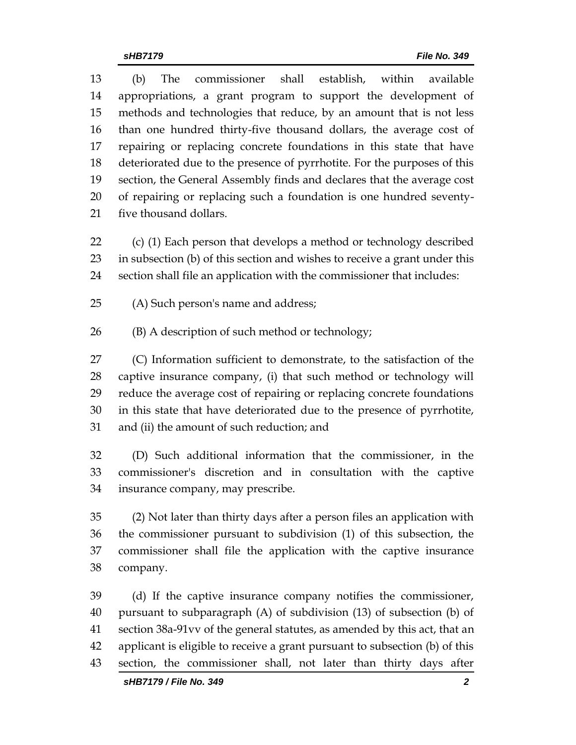(b) The commissioner shall establish, within available appropriations, a grant program to support the development of methods and technologies that reduce, by an amount that is not less than one hundred thirty-five thousand dollars, the average cost of repairing or replacing concrete foundations in this state that have deteriorated due to the presence of pyrrhotite. For the purposes of this section, the General Assembly finds and declares that the average cost of repairing or replacing such a foundation is one hundred seventy-five thousand dollars.

 (c) (1) Each person that develops a method or technology described in subsection (b) of this section and wishes to receive a grant under this section shall file an application with the commissioner that includes:

(A) Such person's name and address;

(B) A description of such method or technology;

 (C) Information sufficient to demonstrate, to the satisfaction of the captive insurance company, (i) that such method or technology will reduce the average cost of repairing or replacing concrete foundations in this state that have deteriorated due to the presence of pyrrhotite, and (ii) the amount of such reduction; and

 (D) Such additional information that the commissioner, in the commissioner's discretion and in consultation with the captive insurance company, may prescribe.

 (2) Not later than thirty days after a person files an application with the commissioner pursuant to subdivision (1) of this subsection, the commissioner shall file the application with the captive insurance company.

 (d) If the captive insurance company notifies the commissioner, pursuant to subparagraph (A) of subdivision (13) of subsection (b) of section 38a-91vv of the general statutes, as amended by this act, that an applicant is eligible to receive a grant pursuant to subsection (b) of this section, the commissioner shall, not later than thirty days after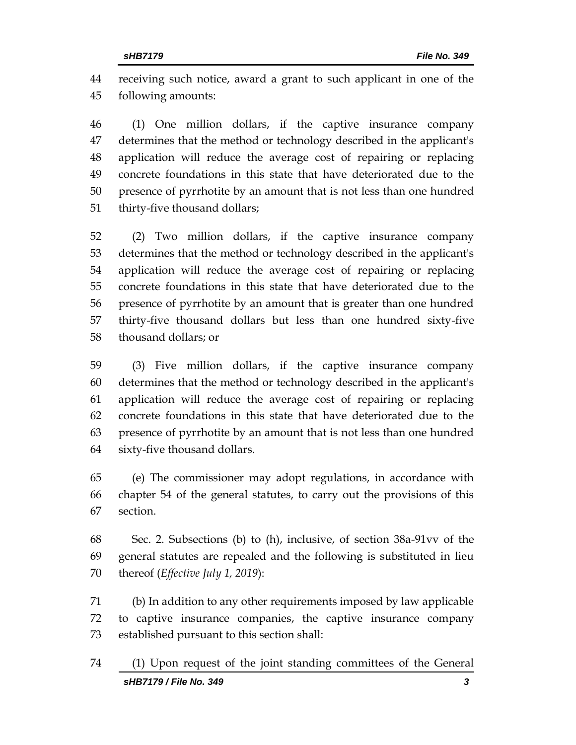receiving such notice, award a grant to such applicant in one of the following amounts:

 (1) One million dollars, if the captive insurance company determines that the method or technology described in the applicant's application will reduce the average cost of repairing or replacing concrete foundations in this state that have deteriorated due to the presence of pyrrhotite by an amount that is not less than one hundred thirty-five thousand dollars;

 (2) Two million dollars, if the captive insurance company determines that the method or technology described in the applicant's application will reduce the average cost of repairing or replacing concrete foundations in this state that have deteriorated due to the presence of pyrrhotite by an amount that is greater than one hundred thirty-five thousand dollars but less than one hundred sixty-five thousand dollars; or

 (3) Five million dollars, if the captive insurance company determines that the method or technology described in the applicant's application will reduce the average cost of repairing or replacing concrete foundations in this state that have deteriorated due to the presence of pyrrhotite by an amount that is not less than one hundred sixty-five thousand dollars.

 (e) The commissioner may adopt regulations, in accordance with chapter 54 of the general statutes, to carry out the provisions of this section.

 Sec. 2. Subsections (b) to (h), inclusive, of section 38a-91vv of the general statutes are repealed and the following is substituted in lieu thereof (*Effective July 1, 2019*):

 (b) In addition to any other requirements imposed by law applicable to captive insurance companies, the captive insurance company established pursuant to this section shall:

*sHB7179 / File No. 349 3* (1) Upon request of the joint standing committees of the General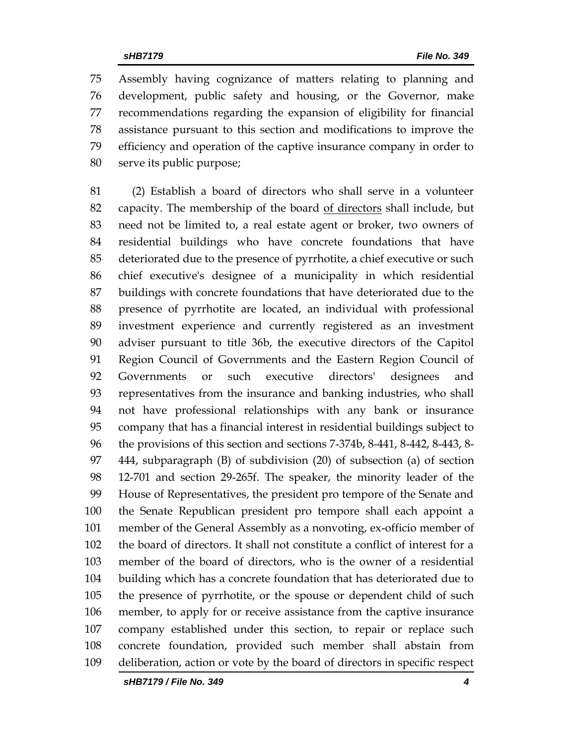Assembly having cognizance of matters relating to planning and development, public safety and housing, or the Governor, make recommendations regarding the expansion of eligibility for financial assistance pursuant to this section and modifications to improve the efficiency and operation of the captive insurance company in order to serve its public purpose;

 (2) Establish a board of directors who shall serve in a volunteer capacity. The membership of the board of directors shall include, but need not be limited to, a real estate agent or broker, two owners of residential buildings who have concrete foundations that have deteriorated due to the presence of pyrrhotite, a chief executive or such chief executive's designee of a municipality in which residential buildings with concrete foundations that have deteriorated due to the presence of pyrrhotite are located, an individual with professional investment experience and currently registered as an investment adviser pursuant to title 36b, the executive directors of the Capitol Region Council of Governments and the Eastern Region Council of Governments or such executive directors' designees and representatives from the insurance and banking industries, who shall not have professional relationships with any bank or insurance company that has a financial interest in residential buildings subject to the provisions of this section and sections 7-374b, 8-441, 8-442, 8-443, 8- 444, subparagraph (B) of subdivision (20) of subsection (a) of section 12-701 and section 29-265f. The speaker, the minority leader of the House of Representatives, the president pro tempore of the Senate and the Senate Republican president pro tempore shall each appoint a member of the General Assembly as a nonvoting, ex-officio member of the board of directors. It shall not constitute a conflict of interest for a member of the board of directors, who is the owner of a residential building which has a concrete foundation that has deteriorated due to the presence of pyrrhotite, or the spouse or dependent child of such member, to apply for or receive assistance from the captive insurance company established under this section, to repair or replace such concrete foundation, provided such member shall abstain from deliberation, action or vote by the board of directors in specific respect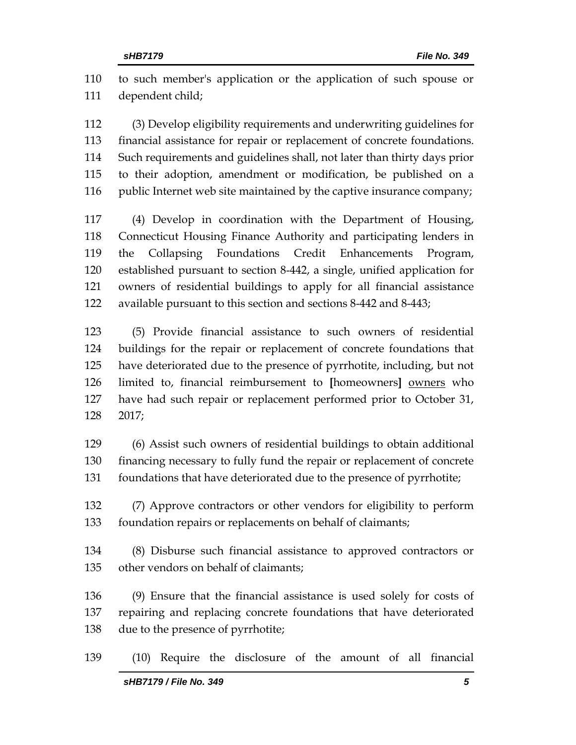to such member's application or the application of such spouse or dependent child;

 (3) Develop eligibility requirements and underwriting guidelines for financial assistance for repair or replacement of concrete foundations. Such requirements and guidelines shall, not later than thirty days prior to their adoption, amendment or modification, be published on a 116 public Internet web site maintained by the captive insurance company;

 (4) Develop in coordination with the Department of Housing, Connecticut Housing Finance Authority and participating lenders in the Collapsing Foundations Credit Enhancements Program, established pursuant to section 8-442, a single, unified application for owners of residential buildings to apply for all financial assistance available pursuant to this section and sections 8-442 and 8-443;

 (5) Provide financial assistance to such owners of residential buildings for the repair or replacement of concrete foundations that have deteriorated due to the presence of pyrrhotite, including, but not limited to, financial reimbursement to **[**homeowners**]** owners who have had such repair or replacement performed prior to October 31, 2017;

 (6) Assist such owners of residential buildings to obtain additional financing necessary to fully fund the repair or replacement of concrete foundations that have deteriorated due to the presence of pyrrhotite;

 (7) Approve contractors or other vendors for eligibility to perform foundation repairs or replacements on behalf of claimants;

 (8) Disburse such financial assistance to approved contractors or other vendors on behalf of claimants;

 (9) Ensure that the financial assistance is used solely for costs of repairing and replacing concrete foundations that have deteriorated due to the presence of pyrrhotite;

(10) Require the disclosure of the amount of all financial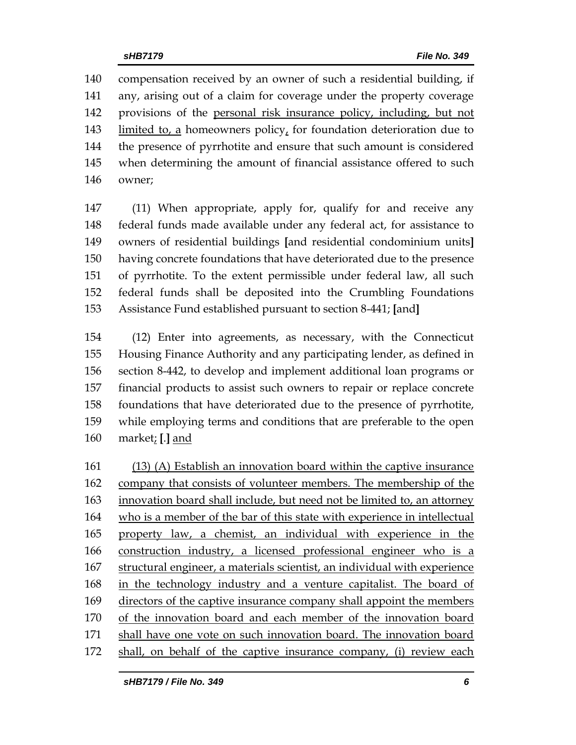compensation received by an owner of such a residential building, if any, arising out of a claim for coverage under the property coverage provisions of the personal risk insurance policy, including, but not limited to, a homeowners policy, for foundation deterioration due to the presence of pyrrhotite and ensure that such amount is considered when determining the amount of financial assistance offered to such owner;

 (11) When appropriate, apply for, qualify for and receive any federal funds made available under any federal act, for assistance to owners of residential buildings **[**and residential condominium units**]** having concrete foundations that have deteriorated due to the presence of pyrrhotite. To the extent permissible under federal law, all such federal funds shall be deposited into the Crumbling Foundations Assistance Fund established pursuant to section 8-441; **[**and**]**

 (12) Enter into agreements, as necessary, with the Connecticut Housing Finance Authority and any participating lender, as defined in section 8-442, to develop and implement additional loan programs or financial products to assist such owners to repair or replace concrete foundations that have deteriorated due to the presence of pyrrhotite, while employing terms and conditions that are preferable to the open market; **[**.**]** and

 (13) (A) Establish an innovation board within the captive insurance company that consists of volunteer members. The membership of the innovation board shall include, but need not be limited to, an attorney who is a member of the bar of this state with experience in intellectual property law, a chemist, an individual with experience in the construction industry, a licensed professional engineer who is a structural engineer, a materials scientist, an individual with experience 168 in the technology industry and a venture capitalist. The board of directors of the captive insurance company shall appoint the members of the innovation board and each member of the innovation board shall have one vote on such innovation board. The innovation board shall, on behalf of the captive insurance company, (i) review each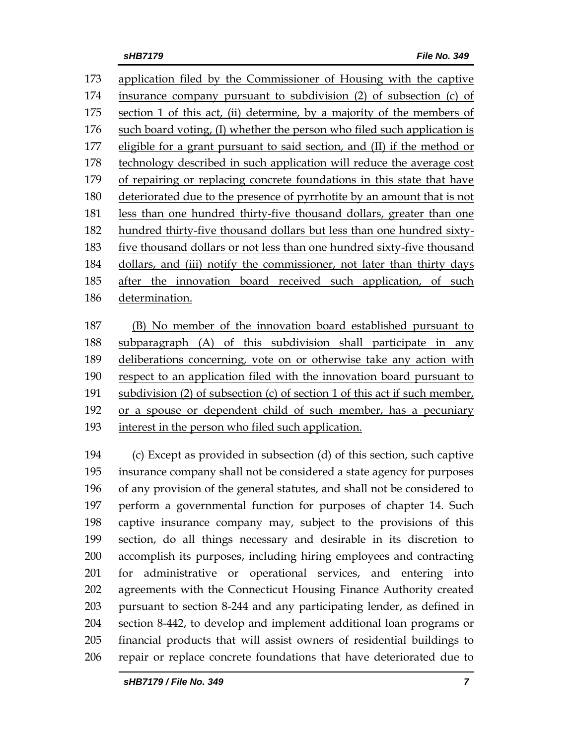application filed by the Commissioner of Housing with the captive insurance company pursuant to subdivision (2) of subsection (c) of section 1 of this act, (ii) determine, by a majority of the members of such board voting, (I) whether the person who filed such application is eligible for a grant pursuant to said section, and (II) if the method or technology described in such application will reduce the average cost of repairing or replacing concrete foundations in this state that have deteriorated due to the presence of pyrrhotite by an amount that is not less than one hundred thirty-five thousand dollars, greater than one hundred thirty-five thousand dollars but less than one hundred sixty- five thousand dollars or not less than one hundred sixty-five thousand dollars, and (iii) notify the commissioner, not later than thirty days after the innovation board received such application, of such determination.

 (B) No member of the innovation board established pursuant to subparagraph (A) of this subdivision shall participate in any deliberations concerning, vote on or otherwise take any action with respect to an application filed with the innovation board pursuant to subdivision (2) of subsection (c) of section 1 of this act if such member, or a spouse or dependent child of such member, has a pecuniary interest in the person who filed such application.

 (c) Except as provided in subsection (d) of this section, such captive insurance company shall not be considered a state agency for purposes of any provision of the general statutes, and shall not be considered to perform a governmental function for purposes of chapter 14. Such captive insurance company may, subject to the provisions of this section, do all things necessary and desirable in its discretion to accomplish its purposes, including hiring employees and contracting for administrative or operational services, and entering into agreements with the Connecticut Housing Finance Authority created pursuant to section 8-244 and any participating lender, as defined in section 8-442, to develop and implement additional loan programs or financial products that will assist owners of residential buildings to repair or replace concrete foundations that have deteriorated due to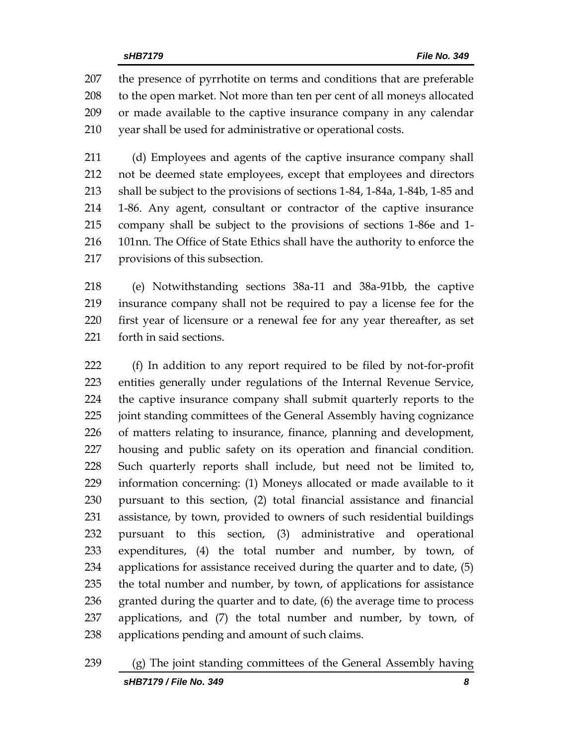the presence of pyrrhotite on terms and conditions that are preferable to the open market. Not more than ten per cent of all moneys allocated or made available to the captive insurance company in any calendar year shall be used for administrative or operational costs.

 (d) Employees and agents of the captive insurance company shall not be deemed state employees, except that employees and directors shall be subject to the provisions of sections 1-84, 1-84a, 1-84b, 1-85 and 1-86. Any agent, consultant or contractor of the captive insurance company shall be subject to the provisions of sections 1-86e and 1- 101nn. The Office of State Ethics shall have the authority to enforce the provisions of this subsection.

 (e) Notwithstanding sections 38a-11 and 38a-91bb, the captive insurance company shall not be required to pay a license fee for the first year of licensure or a renewal fee for any year thereafter, as set forth in said sections.

 (f) In addition to any report required to be filed by not-for-profit entities generally under regulations of the Internal Revenue Service, the captive insurance company shall submit quarterly reports to the joint standing committees of the General Assembly having cognizance of matters relating to insurance, finance, planning and development, housing and public safety on its operation and financial condition. Such quarterly reports shall include, but need not be limited to, information concerning: (1) Moneys allocated or made available to it pursuant to this section, (2) total financial assistance and financial assistance, by town, provided to owners of such residential buildings pursuant to this section, (3) administrative and operational expenditures, (4) the total number and number, by town, of applications for assistance received during the quarter and to date, (5) the total number and number, by town, of applications for assistance granted during the quarter and to date, (6) the average time to process applications, and (7) the total number and number, by town, of applications pending and amount of such claims.

*sHB7179 / File No. 349 8* (g) The joint standing committees of the General Assembly having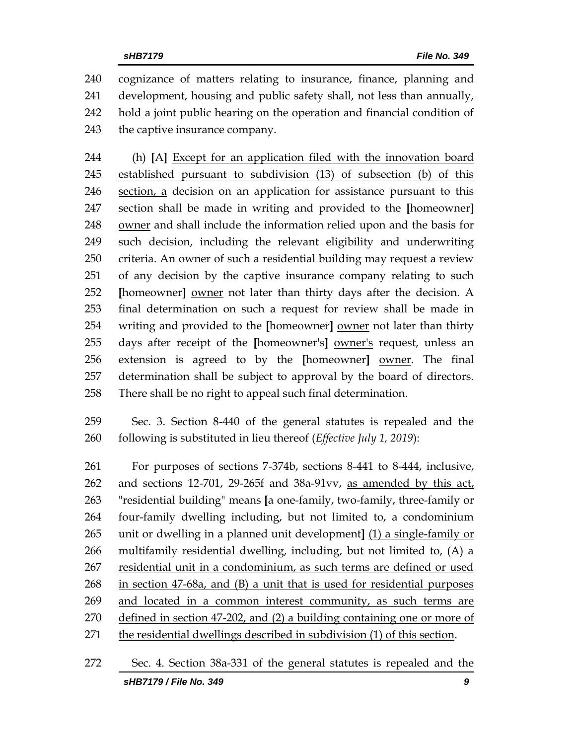cognizance of matters relating to insurance, finance, planning and development, housing and public safety shall, not less than annually, hold a joint public hearing on the operation and financial condition of the captive insurance company.

 (h) **[**A**]** Except for an application filed with the innovation board 245 established pursuant to subdivision (13) of subsection (b) of this section, a decision on an application for assistance pursuant to this section shall be made in writing and provided to the **[**homeowner**]** owner and shall include the information relied upon and the basis for such decision, including the relevant eligibility and underwriting criteria. An owner of such a residential building may request a review of any decision by the captive insurance company relating to such **[**homeowner**]** owner not later than thirty days after the decision. A final determination on such a request for review shall be made in writing and provided to the **[**homeowner**]** owner not later than thirty days after receipt of the **[**homeowner's**]** owner's request, unless an extension is agreed to by the **[**homeowner**]** owner. The final determination shall be subject to approval by the board of directors. There shall be no right to appeal such final determination.

 Sec. 3. Section 8-440 of the general statutes is repealed and the following is substituted in lieu thereof (*Effective July 1, 2019*):

 For purposes of sections 7-374b, sections 8-441 to 8-444, inclusive, and sections 12-701, 29-265f and 38a-91vv, as amended by this act, "residential building" means **[**a one-family, two-family, three-family or four-family dwelling including, but not limited to, a condominium unit or dwelling in a planned unit development**]** (1) a single-family or multifamily residential dwelling, including, but not limited to, (A) a 267 residential unit in a condominium, as such terms are defined or used in section 47-68a, and (B) a unit that is used for residential purposes and located in a common interest community, as such terms are defined in section 47-202, and (2) a building containing one or more of the residential dwellings described in subdivision (1) of this section.

*sHB7179 / File No. 349 9* Sec. 4. Section 38a-331 of the general statutes is repealed and the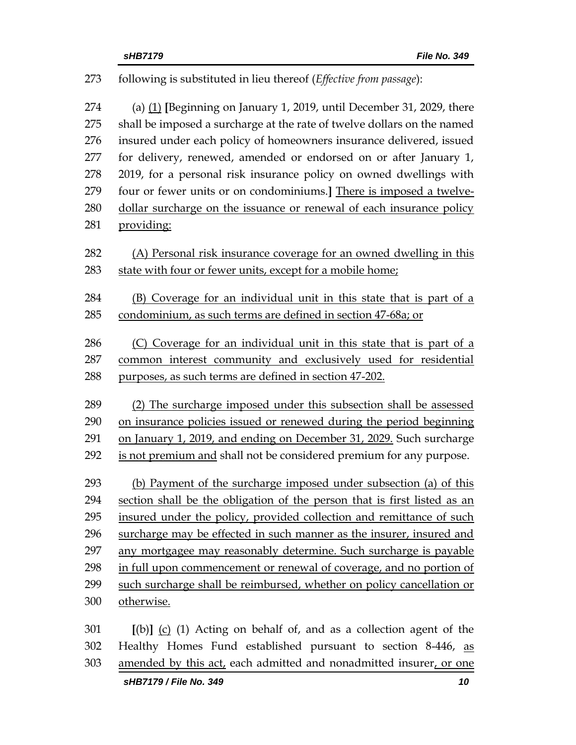| 273 | following is substituted in lieu thereof (Effective from passage):       |
|-----|--------------------------------------------------------------------------|
| 274 | (a) $(1)$ [Beginning on January 1, 2019, until December 31, 2029, there  |
| 275 | shall be imposed a surcharge at the rate of twelve dollars on the named  |
| 276 | insured under each policy of homeowners insurance delivered, issued      |
| 277 | for delivery, renewed, amended or endorsed on or after January 1,        |
| 278 | 2019, for a personal risk insurance policy on owned dwellings with       |
| 279 | four or fewer units or on condominiums.] There is imposed a twelve-      |
| 280 | dollar surcharge on the issuance or renewal of each insurance policy     |
| 281 | providing:                                                               |
| 282 | (A) Personal risk insurance coverage for an owned dwelling in this       |
| 283 | state with four or fewer units, except for a mobile home;                |
| 284 | (B) Coverage for an individual unit in this state that is part of a      |
| 285 | condominium, as such terms are defined in section 47-68a; or             |
| 286 | (C) Coverage for an individual unit in this state that is part of a      |
| 287 | common interest community and exclusively used for residential           |
| 288 | purposes, as such terms are defined in section 47-202.                   |
| 289 | (2) The surcharge imposed under this subsection shall be assessed        |
| 290 | on insurance policies issued or renewed during the period beginning      |
| 291 | on January 1, 2019, and ending on December 31, 2029. Such surcharge      |
| 292 | is not premium and shall not be considered premium for any purpose.      |
| 293 | (b) Payment of the surcharge imposed under subsection (a) of this        |
| 294 | section shall be the obligation of the person that is first listed as an |
| 295 | insured under the policy, provided collection and remittance of such     |
| 296 | surcharge may be effected in such manner as the insurer, insured and     |
| 297 | any mortgagee may reasonably determine. Such surcharge is payable        |
| 298 | in full upon commencement or renewal of coverage, and no portion of      |
| 299 | such surcharge shall be reimbursed, whether on policy cancellation or    |
| 300 | otherwise.                                                               |
| 301 | $[(b)]$ (c) (1) Acting on behalf of, and as a collection agent of the    |
| 302 | Healthy Homes Fund established pursuant to section 8-446, as             |

303 amended by this act, each admitted and nonadmitted insurer, or one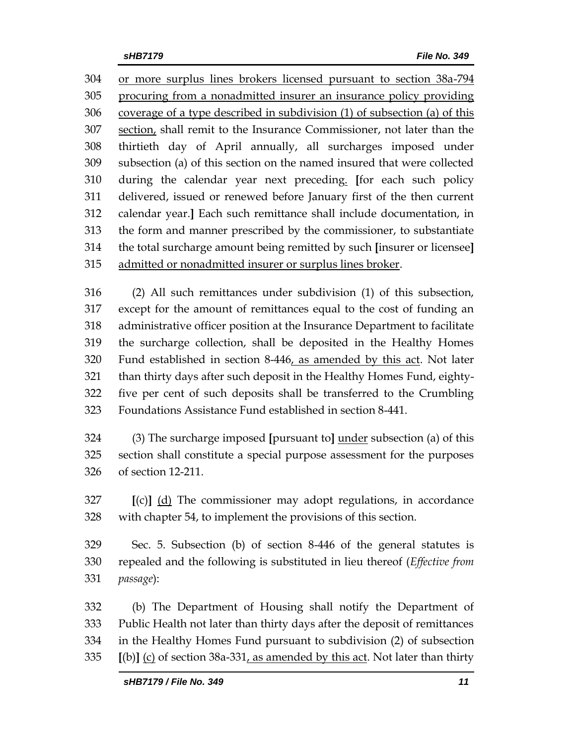or more surplus lines brokers licensed pursuant to section 38a-794 procuring from a nonadmitted insurer an insurance policy providing coverage of a type described in subdivision (1) of subsection (a) of this section, shall remit to the Insurance Commissioner, not later than the thirtieth day of April annually, all surcharges imposed under subsection (a) of this section on the named insured that were collected during the calendar year next preceding. **[**for each such policy delivered, issued or renewed before January first of the then current calendar year.**]** Each such remittance shall include documentation, in the form and manner prescribed by the commissioner, to substantiate the total surcharge amount being remitted by such **[**insurer or licensee**]** admitted or nonadmitted insurer or surplus lines broker.

 (2) All such remittances under subdivision (1) of this subsection, except for the amount of remittances equal to the cost of funding an administrative officer position at the Insurance Department to facilitate the surcharge collection, shall be deposited in the Healthy Homes Fund established in section 8-446, as amended by this act. Not later than thirty days after such deposit in the Healthy Homes Fund, eighty- five per cent of such deposits shall be transferred to the Crumbling Foundations Assistance Fund established in section 8-441.

 (3) The surcharge imposed **[**pursuant to**]** under subsection (a) of this section shall constitute a special purpose assessment for the purposes of section 12-211.

 **[**(c)**]** (d) The commissioner may adopt regulations, in accordance with chapter 54, to implement the provisions of this section.

 Sec. 5. Subsection (b) of section 8-446 of the general statutes is repealed and the following is substituted in lieu thereof (*Effective from passage*):

 (b) The Department of Housing shall notify the Department of Public Health not later than thirty days after the deposit of remittances in the Healthy Homes Fund pursuant to subdivision (2) of subsection **[**(b)**]** (c) of section 38a-331, as amended by this act. Not later than thirty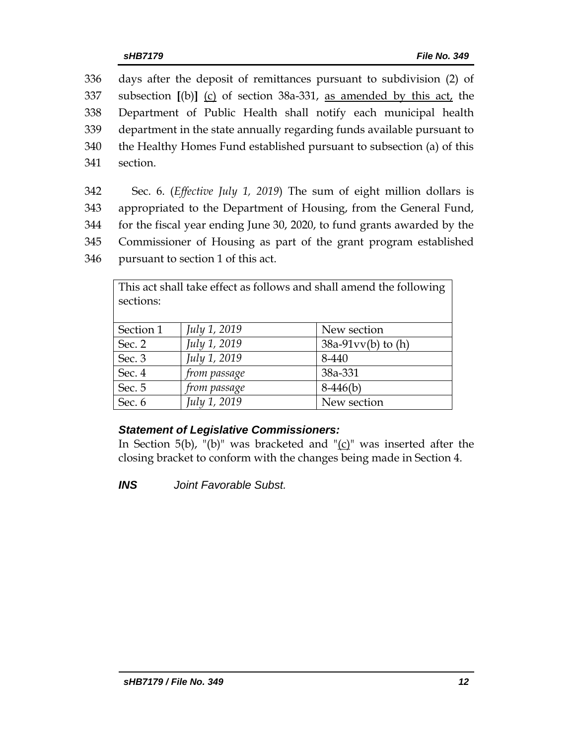days after the deposit of remittances pursuant to subdivision (2) of subsection **[**(b)**]** (c) of section 38a-331, as amended by this act, the Department of Public Health shall notify each municipal health department in the state annually regarding funds available pursuant to the Healthy Homes Fund established pursuant to subsection (a) of this 341 section.

 Sec. 6. (*Effective July 1, 2019*) The sum of eight million dollars is appropriated to the Department of Housing, from the General Fund, for the fiscal year ending June 30, 2020, to fund grants awarded by the Commissioner of Housing as part of the grant program established pursuant to section 1 of this act.

| This act shall take effect as follows and shall amend the following |              |                      |  |  |  |  |  |
|---------------------------------------------------------------------|--------------|----------------------|--|--|--|--|--|
| sections:                                                           |              |                      |  |  |  |  |  |
|                                                                     |              |                      |  |  |  |  |  |
| Section 1                                                           | July 1, 2019 | New section          |  |  |  |  |  |
| Sec. 2                                                              | July 1, 2019 | $38a-91vv(b)$ to (h) |  |  |  |  |  |
| Sec. 3                                                              | July 1, 2019 | 8-440                |  |  |  |  |  |
| Sec. 4                                                              | from passage | 38a-331              |  |  |  |  |  |
| Sec. 5                                                              | from passage | $8-446(b)$           |  |  |  |  |  |
| Sec. 6                                                              | July 1, 2019 | New section          |  |  |  |  |  |

### *Statement of Legislative Commissioners:*

In Section  $5(b)$ , "(b)" was bracketed and "(c)" was inserted after the closing bracket to conform with the changes being made in Section 4.

*INS Joint Favorable Subst.*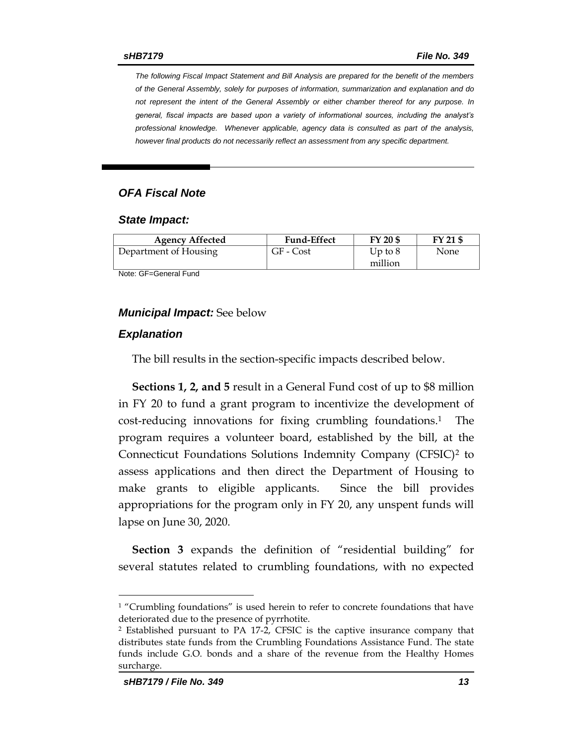*The following Fiscal Impact Statement and Bill Analysis are prepared for the benefit of the members of the General Assembly, solely for purposes of information, summarization and explanation and do not represent the intent of the General Assembly or either chamber thereof for any purpose. In general, fiscal impacts are based upon a variety of informational sources, including the analyst's professional knowledge. Whenever applicable, agency data is consulted as part of the analysis, however final products do not necessarily reflect an assessment from any specific department.*

#### *OFA Fiscal Note*

#### *State Impact:*

| <b>Agency Affected</b> | <b>Fund-Effect</b> | FY 20 \$             | FY 21 \$ |
|------------------------|--------------------|----------------------|----------|
| Department of Housing  | GF - Cost          | Up to $8$<br>million | None     |

Note: GF=General Fund

#### *Municipal Impact:* See below

#### *Explanation*

The bill results in the section-specific impacts described below.

**Sections 1, 2, and 5** result in a General Fund cost of up to \$8 million in FY 20 to fund a grant program to incentivize the development of cost-reducing innovations for fixing crumbling foundations. <sup>1</sup> The program requires a volunteer board, established by the bill, at the Connecticut Foundations Solutions Indemnity Company (CFSIC)<sup>2</sup> to assess applications and then direct the Department of Housing to make grants to eligible applicants. Since the bill provides appropriations for the program only in FY 20, any unspent funds will lapse on June 30, 2020.

**Section 3** expands the definition of "residential building" for several statutes related to crumbling foundations, with no expected

 $\overline{a}$ 

<sup>&</sup>lt;sup>1</sup> "Crumbling foundations" is used herein to refer to concrete foundations that have deteriorated due to the presence of pyrrhotite.

<sup>2</sup> Established pursuant to PA 17-2, CFSIC is the captive insurance company that distributes state funds from the Crumbling Foundations Assistance Fund. The state funds include G.O. bonds and a share of the revenue from the Healthy Homes surcharge.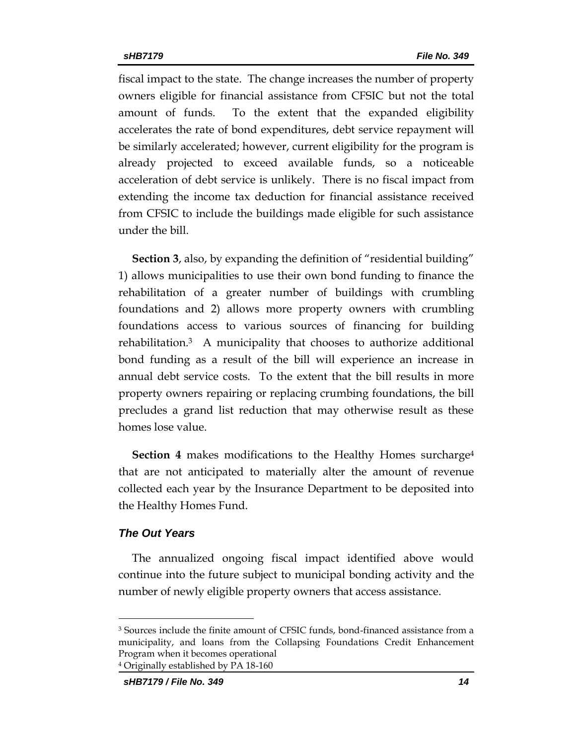fiscal impact to the state. The change increases the number of property owners eligible for financial assistance from CFSIC but not the total amount of funds. To the extent that the expanded eligibility accelerates the rate of bond expenditures, debt service repayment will be similarly accelerated; however, current eligibility for the program is already projected to exceed available funds, so a noticeable acceleration of debt service is unlikely. There is no fiscal impact from extending the income tax deduction for financial assistance received from CFSIC to include the buildings made eligible for such assistance under the bill.

**Section 3**, also, by expanding the definition of "residential building" 1) allows municipalities to use their own bond funding to finance the rehabilitation of a greater number of buildings with crumbling foundations and 2) allows more property owners with crumbling foundations access to various sources of financing for building rehabilitation.3 A municipality that chooses to authorize additional bond funding as a result of the bill will experience an increase in annual debt service costs. To the extent that the bill results in more property owners repairing or replacing crumbing foundations, the bill precludes a grand list reduction that may otherwise result as these homes lose value.

**Section 4** makes modifications to the Healthy Homes surcharge<sup>4</sup> that are not anticipated to materially alter the amount of revenue collected each year by the Insurance Department to be deposited into the Healthy Homes Fund.

#### *The Out Years*

 $\overline{a}$ 

The annualized ongoing fiscal impact identified above would continue into the future subject to municipal bonding activity and the number of newly eligible property owners that access assistance.

<sup>3</sup> Sources include the finite amount of CFSIC funds, bond-financed assistance from a municipality, and loans from the Collapsing Foundations Credit Enhancement Program when it becomes operational <sup>4</sup> Originally established by PA 18-160

*sHB7179 / File No. 349 14*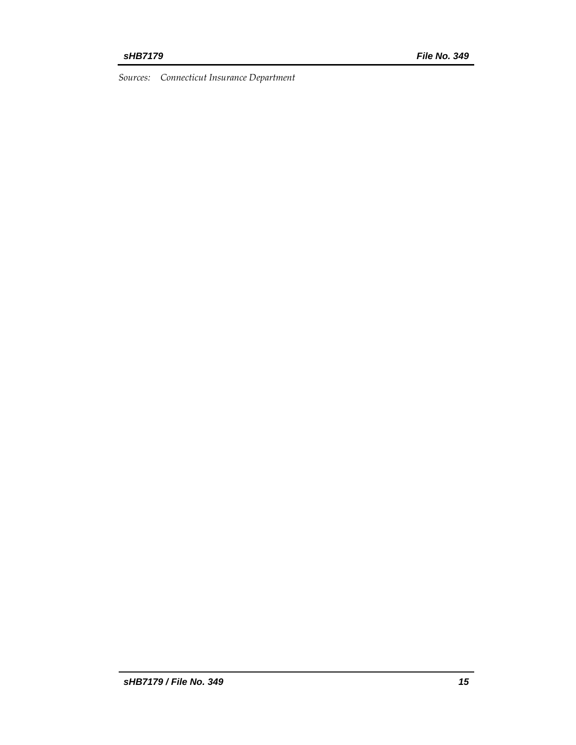*Sources: Connecticut Insurance Department*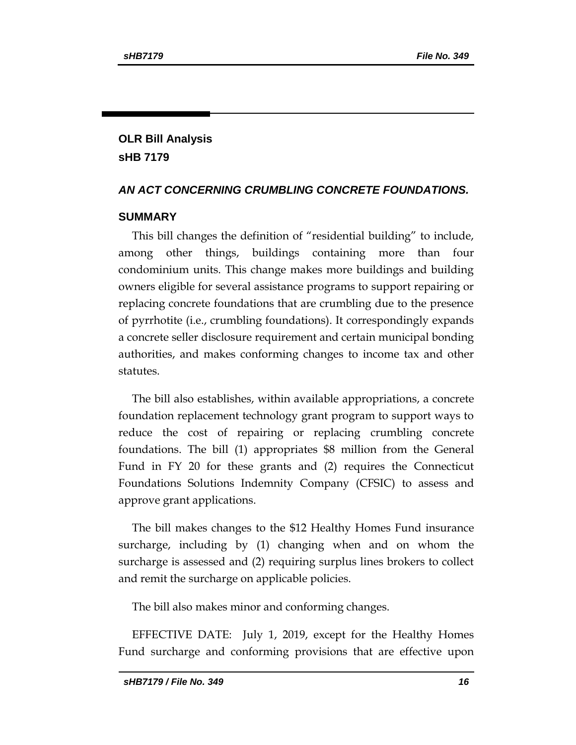# **OLR Bill Analysis sHB 7179**

### *AN ACT CONCERNING CRUMBLING CONCRETE FOUNDATIONS.*

### **SUMMARY**

This bill changes the definition of "residential building" to include, among other things, buildings containing more than four condominium units. This change makes more buildings and building owners eligible for several assistance programs to support repairing or replacing concrete foundations that are crumbling due to the presence of pyrrhotite (i.e., crumbling foundations). It correspondingly expands a concrete seller disclosure requirement and certain municipal bonding authorities, and makes conforming changes to income tax and other statutes.

The bill also establishes, within available appropriations, a concrete foundation replacement technology grant program to support ways to reduce the cost of repairing or replacing crumbling concrete foundations. The bill (1) appropriates \$8 million from the General Fund in FY 20 for these grants and (2) requires the Connecticut Foundations Solutions Indemnity Company (CFSIC) to assess and approve grant applications.

The bill makes changes to the \$12 Healthy Homes Fund insurance surcharge, including by (1) changing when and on whom the surcharge is assessed and (2) requiring surplus lines brokers to collect and remit the surcharge on applicable policies.

The bill also makes minor and conforming changes.

EFFECTIVE DATE: July 1, 2019, except for the Healthy Homes Fund surcharge and conforming provisions that are effective upon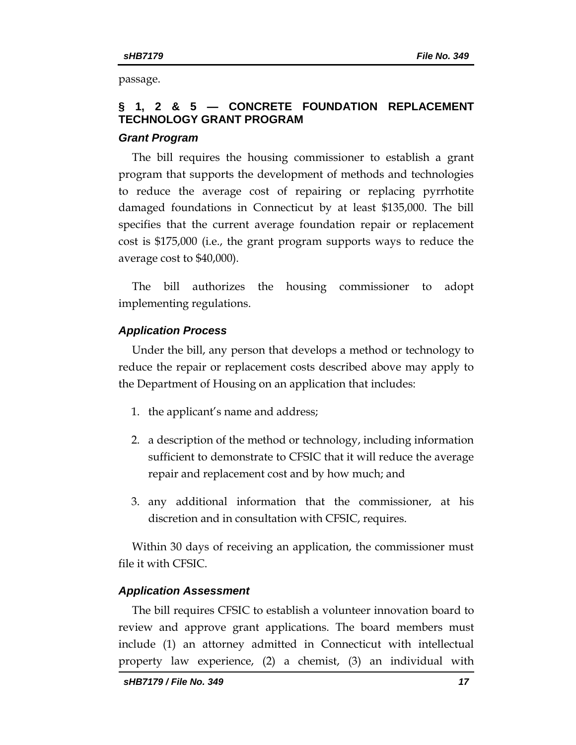passage.

# **§ 1, 2 & 5 — CONCRETE FOUNDATION REPLACEMENT TECHNOLOGY GRANT PROGRAM**

#### *Grant Program*

The bill requires the housing commissioner to establish a grant program that supports the development of methods and technologies to reduce the average cost of repairing or replacing pyrrhotite damaged foundations in Connecticut by at least \$135,000. The bill specifies that the current average foundation repair or replacement cost is \$175,000 (i.e., the grant program supports ways to reduce the average cost to \$40,000).

The bill authorizes the housing commissioner to adopt implementing regulations.

#### *Application Process*

Under the bill, any person that develops a method or technology to reduce the repair or replacement costs described above may apply to the Department of Housing on an application that includes:

- 1. the applicant's name and address;
- 2. a description of the method or technology, including information sufficient to demonstrate to CFSIC that it will reduce the average repair and replacement cost and by how much; and
- 3. any additional information that the commissioner, at his discretion and in consultation with CFSIC, requires.

Within 30 days of receiving an application, the commissioner must file it with CFSIC.

#### *Application Assessment*

The bill requires CFSIC to establish a volunteer innovation board to review and approve grant applications. The board members must include (1) an attorney admitted in Connecticut with intellectual property law experience, (2) a chemist, (3) an individual with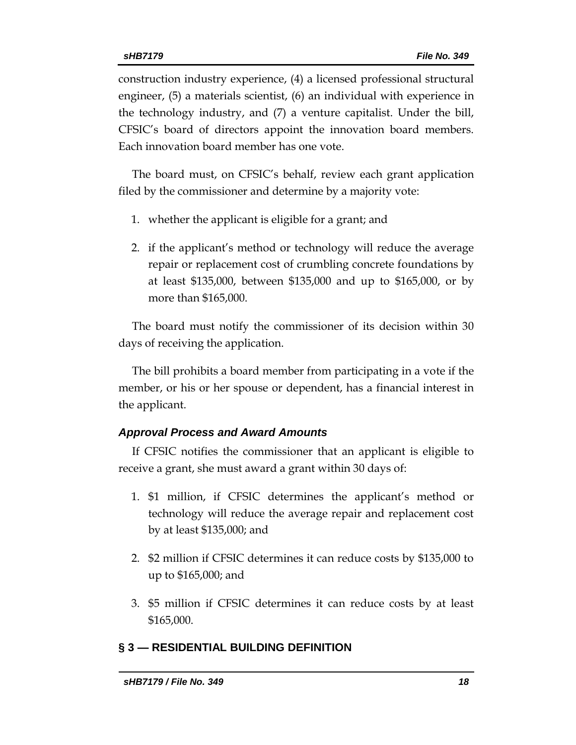construction industry experience, (4) a licensed professional structural engineer, (5) a materials scientist, (6) an individual with experience in the technology industry, and (7) a venture capitalist. Under the bill, CFSIC's board of directors appoint the innovation board members. Each innovation board member has one vote.

The board must, on CFSIC's behalf, review each grant application filed by the commissioner and determine by a majority vote:

- 1. whether the applicant is eligible for a grant; and
- 2. if the applicant's method or technology will reduce the average repair or replacement cost of crumbling concrete foundations by at least \$135,000, between \$135,000 and up to \$165,000, or by more than \$165,000.

The board must notify the commissioner of its decision within 30 days of receiving the application.

The bill prohibits a board member from participating in a vote if the member, or his or her spouse or dependent, has a financial interest in the applicant.

#### *Approval Process and Award Amounts*

If CFSIC notifies the commissioner that an applicant is eligible to receive a grant, she must award a grant within 30 days of:

- 1. \$1 million, if CFSIC determines the applicant's method or technology will reduce the average repair and replacement cost by at least \$135,000; and
- 2. \$2 million if CFSIC determines it can reduce costs by \$135,000 to up to \$165,000; and
- 3. \$5 million if CFSIC determines it can reduce costs by at least \$165,000.

### **§ 3 — RESIDENTIAL BUILDING DEFINITION**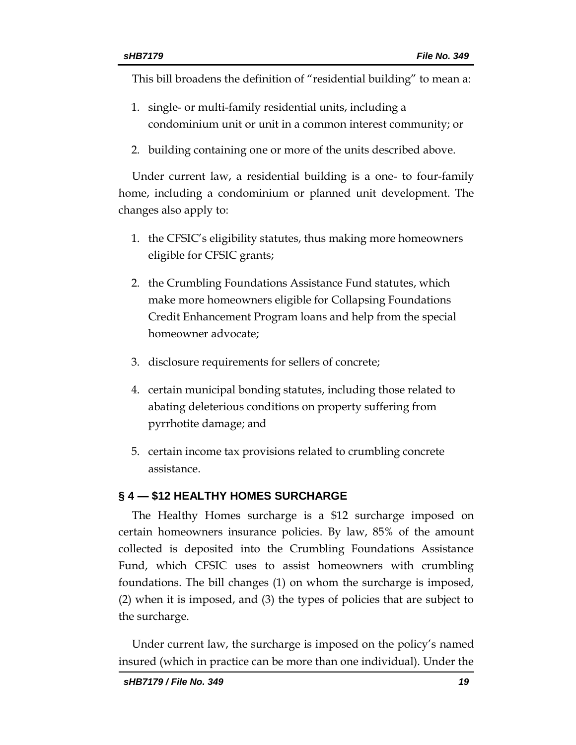This bill broadens the definition of "residential building" to mean a:

- 1. single- or multi-family residential units, including a condominium unit or unit in a common interest community; or
- 2. building containing one or more of the units described above.

Under current law, a residential building is a one- to four-family home, including a condominium or planned unit development. The changes also apply to:

- 1. the CFSIC's eligibility statutes, thus making more homeowners eligible for CFSIC grants;
- 2. the Crumbling Foundations Assistance Fund statutes, which make more homeowners eligible for Collapsing Foundations Credit Enhancement Program loans and help from the special homeowner advocate;
- 3. disclosure requirements for sellers of concrete;
- 4. certain municipal bonding statutes, including those related to abating deleterious conditions on property suffering from pyrrhotite damage; and
- 5. certain income tax provisions related to crumbling concrete assistance.

# **§ 4 — \$12 HEALTHY HOMES SURCHARGE**

The Healthy Homes surcharge is a \$12 surcharge imposed on certain homeowners insurance policies. By law, 85% of the amount collected is deposited into the Crumbling Foundations Assistance Fund, which CFSIC uses to assist homeowners with crumbling foundations. The bill changes (1) on whom the surcharge is imposed, (2) when it is imposed, and (3) the types of policies that are subject to the surcharge.

Under current law, the surcharge is imposed on the policy's named insured (which in practice can be more than one individual). Under the